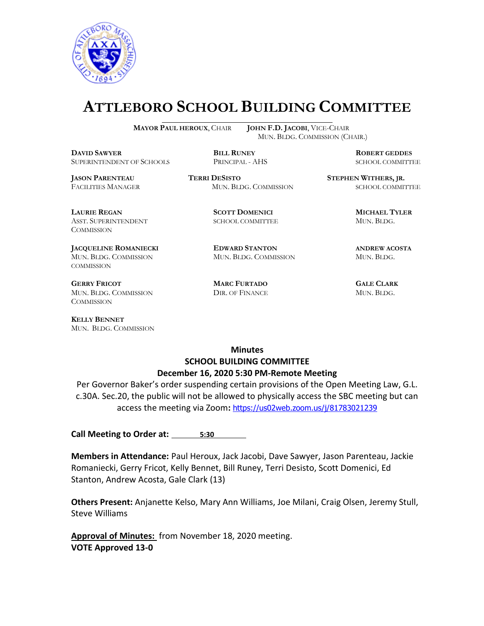

# **ATTLEBORO SCHOOL BUILDING COMMITTEE**

 $\overline{a}$ 

**MAYOR PAUL HEROUX**, CHAIR **JOHN F.D. JACOBI**, VICE-CHAIR MUN. BLDG. COMMISSION (CHAIR.)

**DAVID SAWYER BILL RUNEY ROBERT GEDDES** SUPERINTENDENT OF SCHOOLS PRINCIPAL - AHS SCHOOL COMMITTEE

**LAURIE REGAN SCOTT DOMENICI MICHAEL TYLER** ASST. SUPERINTENDENT SCHOOL COMMITTEE MUN. BLDG. **COMMISSION** 

**JACQUELINE ROMANIECKI EDWARD STANTON ANDREW ACOSTA** MUN. BLDG. COMMISSION MUN. BLDG. COMMISSION MUN. BLDG. COMMISSION

**GERRY FRICOT MARC FURTADO GALE CLARK** MUN. BLDG. COMMISSION DIR. OF FINANCE MUN. BLDG. **COMMISSION** 

**KELLY BENNET** MUN. BLDG. COMMISSION

**JASON PARENTEAU TERRI DESISTO STEPHEN WITHERS, JR.** FACILITIES MANAGER MUN. BLDG. COMMISSION SCHOOL COMMITTEE

#### **Minutes SCHOOL BUILDING COMMITTEE December 16, 2020 5:30 PM-Remote Meeting**

Per Governor Baker's order suspending certain provisions of the Open Meeting Law, G.L. c.30A. Sec.20, the public will not be allowed to physically access the SBC meeting but can access the meeting via Zoom**:** <https://us02web.zoom.us/j/81783021239>

**Call Meeting to Order at: 5:30** 

**Members in Attendance:** Paul Heroux, Jack Jacobi, Dave Sawyer, Jason Parenteau, Jackie Romaniecki, Gerry Fricot, Kelly Bennet, Bill Runey, Terri Desisto, Scott Domenici, Ed Stanton, Andrew Acosta, Gale Clark (13)

**Others Present:** Anjanette Kelso, Mary Ann Williams, Joe Milani, Craig Olsen, Jeremy Stull, Steve Williams

**Approval of Minutes:** from November 18, 2020 meeting. **VOTE Approved 13-0**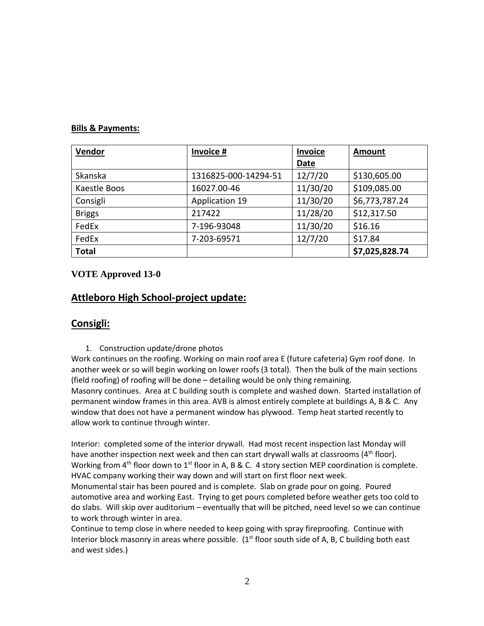#### **Bills & Payments:**

| Vendor        | Invoice #             | <b>Invoice</b> | <b>Amount</b>  |
|---------------|-----------------------|----------------|----------------|
|               |                       | <b>Date</b>    |                |
| Skanska       | 1316825-000-14294-51  | 12/7/20        | \$130,605.00   |
| Kaestle Boos  | 16027.00-46           | 11/30/20       | \$109,085.00   |
| Consigli      | <b>Application 19</b> | 11/30/20       | \$6,773,787.24 |
| <b>Briggs</b> | 217422                | 11/28/20       | \$12,317.50    |
| FedEx         | 7-196-93048           | 11/30/20       | \$16.16        |
| FedEx         | 7-203-69571           | 12/7/20        | \$17.84        |
| <b>Total</b>  |                       |                | \$7,025,828.74 |

#### **VOTE Approved 13-0**

## **Attleboro High School-project update:**

### **Consigli:**

1. Construction update/drone photos

Work continues on the roofing. Working on main roof area E (future cafeteria) Gym roof done. In another week or so will begin working on lower roofs (3 total). Then the bulk of the main sections (field roofing) of roofing will be done – detailing would be only thing remaining. Masonry continues. Area at C building south is complete and washed down. Started installation of permanent window frames in this area. AVB is almost entirely complete at buildings A, B & C. Any window that does not have a permanent window has plywood. Temp heat started recently to allow work to continue through winter.

Interior: completed some of the interior drywall. Had most recent inspection last Monday will have another inspection next week and then can start drywall walls at classrooms  $(4<sup>th</sup>$  floor). Working from  $4<sup>th</sup>$  floor down to  $1<sup>st</sup>$  floor in A, B & C. 4 story section MEP coordination is complete. HVAC company working their way down and will start on first floor next week.

Monumental stair has been poured and is complete. Slab on grade pour on going. Poured automotive area and working East. Trying to get pours completed before weather gets too cold to do slabs. Will skip over auditorium – eventually that will be pitched, need level so we can continue to work through winter in area.

Continue to temp close in where needed to keep going with spray fireproofing. Continue with Interior block masonry in areas where possible.  $(1<sup>st</sup>$  floor south side of A, B, C building both east and west sides.)